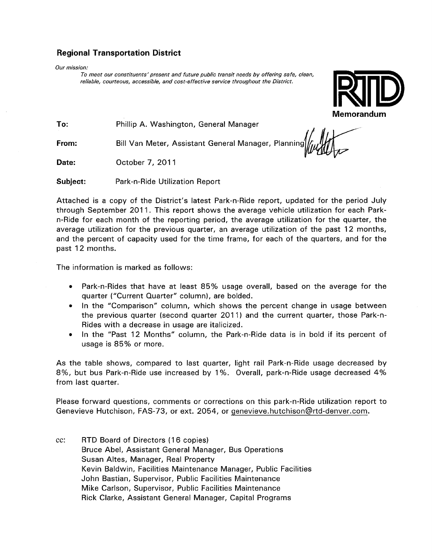## Regional Transportation District

Our mission:

To meet our constituents'present and future public transit needs by offering safe, clean, reliable, courteous, accessible, and cost-effective service throughout the District.



To: Phillip A. Washington, General Manager

From: Bill Van Meter, Assistant General Manager, Planning||/,,,/|//|

Date: October 7, 2011

Subject: Park-n-Ride Utilization Report

Attached is <sup>a</sup> copy of the District's latest Park-n-Ride report, updated for the period July through September 2011. This report shows the average vehicle utilization for each Parkn-Ride for each month of the reporting period, the average utilization for the quarter, the average utilization for the previous quarter, an average utilization of the past 12 months, and the percent of capacity used for the time frame, for each of the quarters, and for the past 12 months.

The information is marked as follows:

- Park-n-Rides that have at least 85% usage overall, based on the average for the quarter ("Current Quarter" column), are bolded.
- In the "Comparison" column, which shows the percent change in usage between the previous quarter (second quarter 2011) and the current quarter, those Park-n-Rides with <sup>a</sup> decrease in usage are italicized.
- In the "Past 12 Months" column, the Park-n-Ride data is in bold if its percent of usage is 85% or more.

As the table shows, compared to last quarter, light rail Park-n-Ride usage decreased by 8%, but bus Park-n-Ride use increased by <sup>1</sup> %. Overall, park-n-Ride usage decreased 4% from last quarter.

Please forward questions, comments or corrections on this park-n-Ride utilization report to Genevieve Hutchison, FAS-73, or ext. 2054, or genevieve.hutchison@Irtd~denver.com.

cc: RTD Board of Directors (16 copies) Bruce Abel, Assistant General Manager, Bus Operations Susan Altes, Manager, Real Property Kevin Baldwin, Facilities Maintenance Manager, Public Facilities John Bastian, Supervisor, Public Facilities Maintenance Mike Carlson, Supervisor, Public Facilities Maintenance Rick Clarke, Assistant General Manager, Capital Programs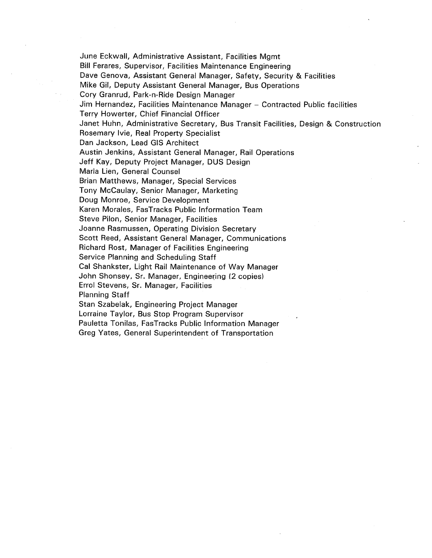June Eckwali, Administrative Assistant, Facilities Mgmt Bill Ferares, Supervisor, Facilities Maintenance Engineering Dave Genova, Assistant General Manager, Safety, Security & Facilities Mike Gil, Deputy Assistant General Manager, Bus Operations Cory Granrud, Park-n-Ride Design Manager Jim Hernandez, Facilities Maintenance Manager — Contracted Public facilities Terry Howerter, Chief Financial Officer Janet Huhn, Administrative Secretary, Bus Transit Facilities, Design & Construction Rosemary Ivie, Real Property Specialist Dan Jackson, Lead GIS Architect Austin Jenkins, Assistant General Manager, Rail Operations Jeff Kay, Deputy Project Manager, DUS Design Maria Lien, General Counsel Brian Matthews, Manager, Special Services Tony McCaulay, Senior Manager, Marketing Doug Monroe, Service Development Karen Morales, FasTracks Public Information Team Steve Pilon, Senior Manager, Facilities Joanne Rasmussen, Operating Division Secretary Scott Reed, Assistant General Manager, Communications Richard Rost, Manager of Facilities Engineering Service Planning and Scheduling Staff Cal Shankster, Light Rail Maintenance of Way Manager John Shonsey, Sr. Manager, Engineering (2 copies) Errol Stevens, Sr. Manager, Facilities Planning Staff Stan Szabelak, Engineering Project Manager Lorraine Taylor, Bus Stop Program Supervisor Pauletta Tonilas, FasTracks Public Information Manager Greg Yates, General Superintendent of Transportation